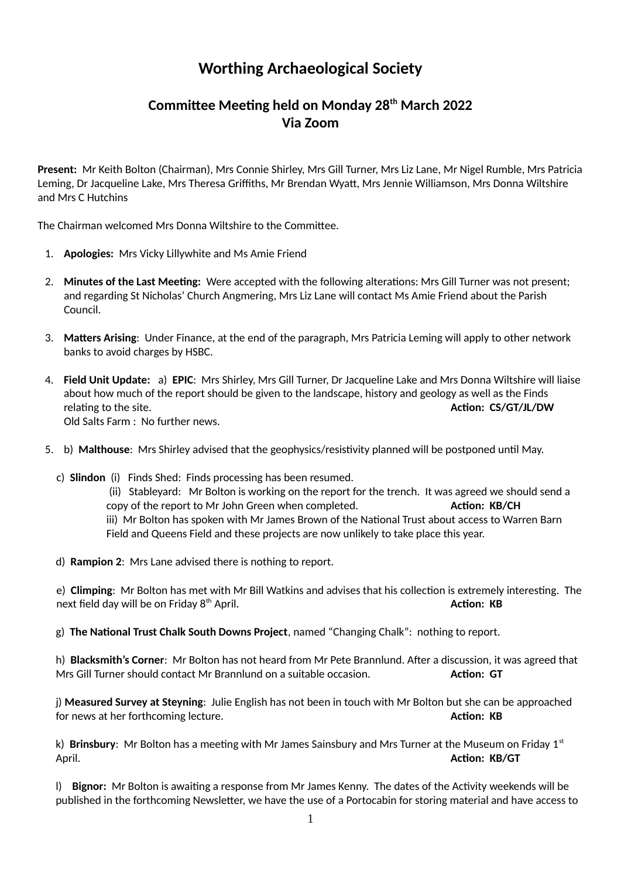## **Worthing Archaeological Society**

## **Committee Meeting held on Monday 28th March 2022 Via Zoom**

**Present:** Mr Keith Bolton (Chairman), Mrs Connie Shirley, Mrs Gill Turner, Mrs Liz Lane, Mr Nigel Rumble, Mrs Patricia Leming, Dr Jacqueline Lake, Mrs Theresa Griffiths, Mr Brendan Wyatt, Mrs Jennie Williamson, Mrs Donna Wiltshire and Mrs C Hutchins

The Chairman welcomed Mrs Donna Wiltshire to the Committee.

- 1. **Apologies:** Mrs Vicky Lillywhite and Ms Amie Friend
- 2. **Minutes of the Last Meeting:** Were accepted with the following alterations: Mrs Gill Turner was not present; and regarding St Nicholas' Church Angmering, Mrs Liz Lane will contact Ms Amie Friend about the Parish Council.
- 3. **Matters Arising**: Under Finance, at the end of the paragraph, Mrs Patricia Leming will apply to other network banks to avoid charges by HSBC.
- 4. **Field Unit Update:** a) **EPIC**: Mrs Shirley, Mrs Gill Turner, Dr Jacqueline Lake and Mrs Donna Wiltshire will liaise about how much of the report should be given to the landscape, history and geology as well as the Finds relating to the site. **Action: CS/GT/JL/DW** Old Salts Farm : No further news.
- 5. b) **Malthouse**: Mrs Shirley advised that the geophysics/resistivity planned will be postponed until May.
	- c) **Slindon** (i) Finds Shed: Finds processing has been resumed.

 (ii) Stableyard: Mr Bolton is working on the report for the trench. It was agreed we should send a copy of the report to Mr John Green when completed. **Action: KB/CH** iii) Mr Bolton has spoken with Mr James Brown of the National Trust about access to Warren Barn Field and Queens Field and these projects are now unlikely to take place this year.

d) **Rampion 2**: Mrs Lane advised there is nothing to report.

e) **Climping**: Mr Bolton has met with Mr Bill Watkins and advises that his collection is extremely interesting. The next field day will be on Friday 8<sup>th</sup> April. **Action: KB Action: KB** 

g) **The National Trust Chalk South Downs Project**, named "Changing Chalk": nothing to report.

h) **Blacksmith's Corner**: Mr Bolton has not heard from Mr Pete Brannlund. After a discussion, it was agreed that Mrs Gill Turner should contact Mr Brannlund on a suitable occasion. **Action: GT**

j) **Measured Survey at Steyning**: Julie English has not been in touch with Mr Bolton but she can be approached for news at her forthcoming lecture. **Action: KB**

k) **Brinsbury**: Mr Bolton has a meeting with Mr James Sainsbury and Mrs Turner at the Museum on Friday 1<sup>st</sup> April. **Action: KB/GT**

l) **Bignor:** Mr Bolton is awaiting a response from Mr James Kenny. The dates of the Activity weekends will be published in the forthcoming Newsletter, we have the use of a Portocabin for storing material and have access to